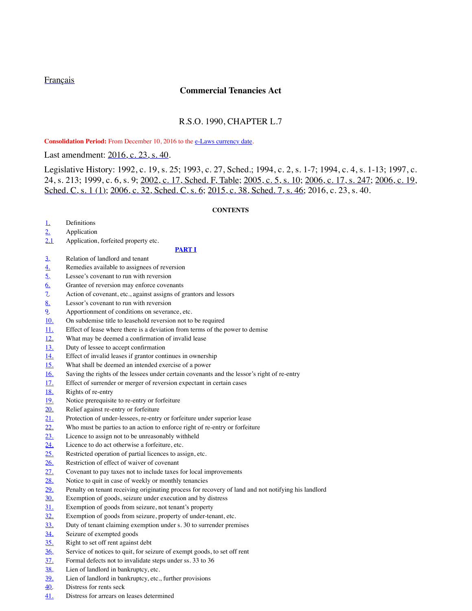**Français** 

# **Commercial Tenancies Act**

# R.S.O. 1990, CHAPTER L.7

**Consolidation Period:** From December 10, 2016 to the e-Laws currency date.

Last amendment: 2016, c. 23, s. 40.

Legislative History: 1992, c. 19, s. 25; 1993, c. 27, Sched.; 1994, c. 2, s. 1-7; 1994, c. 4, s. 1-13; 1997, c. 24, s. 213; 1999, c. 6, s. 9; 2002, c. 17, Sched. F, Table; 2005, c. 5, s. 10; 2006, c. 17, s. 247; 2006, c. 19, Sched. C, s. 1 (1); 2006, c. 32, Sched. C, s. 6; 2015, c. 38, Sched. 7, s. 46; 2016, c. 23, s. 40.

#### **CONTENTS**

- 1. Definitions
- 2. Application
- 2.1 Application, forfeited property etc.

#### **PART I**

- 3. Relation of landlord and tenant
- 4. Remedies available to assignees of reversion
- 5. Lessee's covenant to run with reversion
- 6. Grantee of reversion may enforce covenants
- 7. Action of covenant, etc., against assigns of grantors and lessors
- 8. Lessor's covenant to run with reversion
- 9. Apportionment of conditions on severance, etc.
- 10. On subdemise title to leasehold reversion not to be required
- $\frac{11}{12}$  Effect of lease where there is a deviation from terms of the power to demise<br> $\frac{12}{12}$  What may be deemed a confirmation of invalid lease
- $\frac{12}{13}$  What may be deemed a confirmation of invalid lease<br> $\frac{13}{13}$  Duty of lessee to accept confirmation
- $\frac{13}{14}$  Duty of lessee to accept confirmation<br> $\frac{14}{14}$  Effect of invalid leases if grantor cont
- $\frac{14}{15}$  Effect of invalid leases if grantor continues in ownership<br> $\frac{15}{15}$  What shall be deemed an intended exercise of a power
- $\frac{15}{16}$  What shall be deemed an intended exercise of a power<br> $\frac{16}{16}$  Saving the rights of the lessees under certain covenants
- Saving the rights of the lessees under certain covenants and the lessor's right of re-entry
- 17. Effect of surrender or merger of reversion expectant in certain cases
- 18. Rights of re-entry
- 19. Notice prerequisite to re-entry or forfeiture
- 20. Relief against re-entry or forfeiture
- $\frac{21}{22}$  Protection of under-lessees, re-entry or forfeiture under superior lease<br>22. Who must be parties to an action to enforce right of re-entry or forfeiture
- Who must be parties to an action to enforce right of re-entry or forfeiture
- $\frac{23}{24}$  Licence to assign not to be unreasonably withheld Licence to do act otherwise a forfeiture, etc.
- 
- 24. Licence to do act otherwise a forfeiture, etc.<br>25. Restricted operation of partial licences to ass<br> $\frac{26}{10}$ . Restriction of effect of waiver of covenant Restricted operation of partial licences to assign, etc.
- $\frac{26}{27}$  Restriction of effect of waiver of covenant<br> $\frac{27}{27}$  Covenant to pay taxes not to include taxes
- $\frac{27.}{28.}$  Covenant to pay taxes not to include taxes for local improvements  $\frac{28.}{28.}$  Notice to quit in case of weekly or monthly tenancies
- 28. Notice to quit in case of weekly or monthly tenancies<br>29. Penalty on tenant receiving originating process for rec
- 29. Penalty on tenant receiving originating process for recovery of land and not notifying his landlord  $\overline{30}$ . Exemption of goods, seizure under execution and by distress
- Exemption of goods, seizure under execution and by distress
- 31. Exemption of goods from seizure, not tenant's property
- 32. Exemption of goods from seizure, property of under-tenant, etc.
- 33. Duty of tenant claiming exemption under s. 30 to surrender premises
- 34. Seizure of exempted goods
- 35. Right to set off rent against debt
- 36. Service of notices to quit, for seizure of exempt goods, to set off rent
- 37. Formal defects not to invalidate steps under ss. 33 to 36
- 38. Lien of landlord in bankruptcy, etc.
- 39. Lien of landlord in bankruptcy, etc., further provisions
- 40. Distress for rents seck
- 41. Distress for arrears on leases determined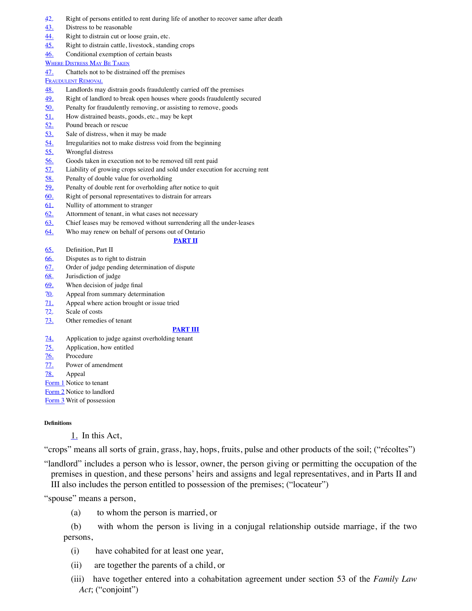- 42. Right of persons entitled to rent during life of another to recover same after death
- 43. Distress to be reasonable
- 44. Right to distrain cut or loose grain, etc.

41. Distress for arrears on leases determined

- 45. Right to distrain cattle, livestock, standing crops
- 46. Conditional exemption of certain beasts
- WHERE DISTRESS MAY BE TAKEN
- 47. Chattels not to be distrained off the premises

**FRAUDULENT REMOVAL** 

- 48. Landlords may distrain goods fraudulently carried off the premises
- 49. Right of landlord to break open houses where goods fraudulently secured
- 50. Penalty for fraudulently removing, or assisting to remove, goods
- 51. How distrained beasts, goods, etc., may be kept
- $\frac{52.}{53.}$  Pound breach or rescue<br>Sale of distress, when it
- Sale of distress, when it may be made
- 54. Irregularities not to make distress void from the beginning
- 55. Wrongful distress
- $\frac{56}{52}$  Goods taken in execution not to be removed till rent paid<br>57. Liability of growing crops seized and sold under executic
- Liability of growing crops seized and sold under execution for accruing rent
- 58. Penalty of double value for overholding
- 59. Penalty of double rent for overholding after notice to quit
- 60. Right of personal representatives to distrain for arrears
- 61. Nullity of attornment to stranger
- 62. Attornment of tenant, in what cases not necessary
- 63. Chief leases may be removed without surrendering all the under-leases
- 64. Who may renew on behalf of persons out of Ontario

## **PART II**

- 65. Definition, Part II
- 66. Disputes as to right to distrain
- 67. Order of judge pending determination of dispute
- 68. Jurisdiction of judge
- 69. When decision of judge final
- 70. Appeal from summary determination
- 71. Appeal where action brought or issue tried
- 72. Scale of costs
- 73. Other remedies of tenant

## **PART III**

- 74. Application to judge against overholding tenant
- 75. Application, how entitled
- 76. Procedure<br>77. Power of a
- Power of amendment
- 78. Appeal
- Form 1 Notice to tenant
- Form 2 Notice to landlord
- Form 3 Writ of possession

## **Definitions**

1. In this Act,

"crops" means all sorts of grain, grass, hay, hops, fruits, pulse and other products of the soil; ("récoltes")

"landlord" includes a person who is lessor, owner, the person giving or permitting the occupation of the premises in question, and these persons' heirs and assigns and legal representatives, and in Parts II and III also includes the person entitled to possession of the premises; ("locateur")

"spouse" means a person,

- (a) to whom the person is married, or
- (b) with whom the person is living in a conjugal relationship outside marriage, if the two persons,
	- (i) have cohabited for at least one year,
	- (ii) are together the parents of a child, or
	- (iii) have together entered into a cohabitation agreement under section 53 of the *Family Law Act*; ("conjoint")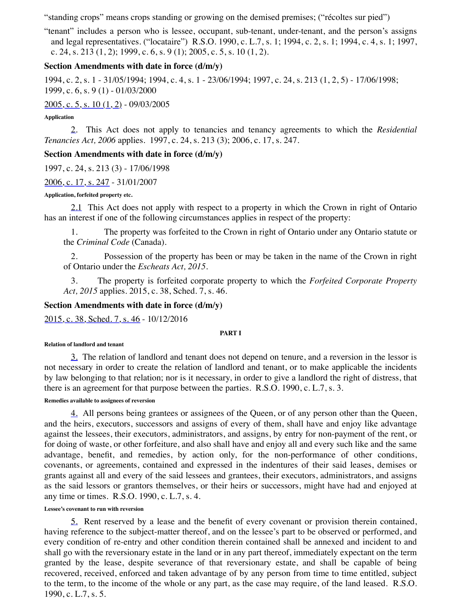"standing crops" means crops standing or growing on the demised premises; ("récoltes sur pied")

"tenant" includes a person who is lessee, occupant, sub-tenant, under-tenant, and the person's assigns and legal representatives. ("locataire") R.S.O. 1990, c. L.7, s. 1; 1994, c. 2, s. 1; 1994, c. 4, s. 1; 1997, c. 24, s. 213 (1, 2); 1999, c. 6, s. 9 (1); 2005, c. 5, s. 10 (1, 2).

## **Section Amendments with date in force (d/m/y)**

1994, c. 2, s. 1 - 31/05/1994; 1994, c. 4, s. 1 - 23/06/1994; 1997, c. 24, s. 213 (1, 2, 5) - 17/06/1998; 1999, c. 6, s. 9 (1) - 01/03/2000

 $2005$ , c. 5, s. 10  $(1, 2)$  - 09/03/2005

#### **Application**

2. This Act does not apply to tenancies and tenancy agreements to which the *Residential Tenancies Act, 2006* applies. 1997, c. 24, s. 213 (3); 2006, c. 17, s. 247.

# **Section Amendments with date in force (d/m/y)**

1997, c. 24, s. 213 (3) - 17/06/1998

## 2006, c. 17, s. 247 - 31/01/2007

## **Application, forfeited property etc.**

2.1This Act does not apply with respect to a property in which the Crown in right of Ontario has an interest if one of the following circumstances applies in respect of the property:

1. The property was forfeited to the Crown in right of Ontario under any Ontario statute or the *Criminal Code* (Canada).

2. Possession of the property has been or may be taken in the name of the Crown in right of Ontario under the *Escheats Act, 2015*.

3. The property is forfeited corporate property to which the *Forfeited Corporate Property Act, 2015* applies. 2015, c. 38, Sched. 7, s. 46.

# **Section Amendments with date in force (d/m/y)**

2015, c. 38, Sched. 7, s. 46 - 10/12/2016

#### **PART I**

#### **Relation of landlord and tenant**

3. The relation of landlord and tenant does not depend on tenure, and a reversion in the lessor is not necessary in order to create the relation of landlord and tenant, or to make applicable the incidents by law belonging to that relation; nor is it necessary, in order to give a landlord the right of distress, that there is an agreement for that purpose between the parties. R.S.O. 1990, c. L.7, s. 3.

## **Remedies available to assignees of reversion**

4. All persons being grantees or assignees of the Queen, or of any person other than the Queen, and the heirs, executors, successors and assigns of every of them, shall have and enjoy like advantage against the lessees, their executors, administrators, and assigns, by entry for non-payment of the rent, or for doing of waste, or other forfeiture, and also shall have and enjoy all and every such like and the same advantage, benefit, and remedies, by action only, for the non-performance of other conditions, covenants, or agreements, contained and expressed in the indentures of their said leases, demises or grants against all and every of the said lessees and grantees, their executors, administrators, and assigns as the said lessors or grantors themselves, or their heirs or successors, might have had and enjoyed at any time or times. R.S.O. 1990, c. L.7, s. 4.

## **Lessee's covenant to run with reversion**

5. Rent reserved by a lease and the benefit of every covenant or provision therein contained, having reference to the subject-matter thereof, and on the lessee's part to be observed or performed, and every condition of re-entry and other condition therein contained shall be annexed and incident to and shall go with the reversionary estate in the land or in any part thereof, immediately expectant on the term granted by the lease, despite severance of that reversionary estate, and shall be capable of being recovered, received, enforced and taken advantage of by any person from time to time entitled, subject to the term, to the income of the whole or any part, as the case may require, of the land leased. R.S.O. 1990, c. L.7, s. 5.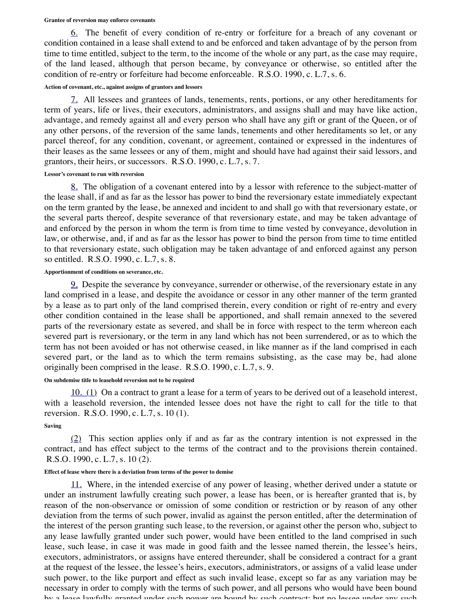#### **Grantee of reversion may enforce covenants**

6. The benefit of every condition of re-entry or forfeiture for a breach of any covenant or condition contained in a lease shall extend to and be enforced and taken advantage of by the person from time to time entitled, subject to the term, to the income of the whole or any part, as the case may require, of the land leased, although that person became, by conveyance or otherwise, so entitled after the condition of re-entry or forfeiture had become enforceable. R.S.O. 1990, c. L.7, s. 6.

#### **Action of covenant, etc., against assigns of grantors and lessors**

7. All lessees and grantees of lands, tenements, rents, portions, or any other hereditaments for term of years, life or lives, their executors, administrators, and assigns shall and may have like action, advantage, and remedy against all and every person who shall have any gift or grant of the Queen, or of any other persons, of the reversion of the same lands, tenements and other hereditaments so let, or any parcel thereof, for any condition, covenant, or agreement, contained or expressed in the indentures of their leases as the same lessees or any of them, might and should have had against their said lessors, and grantors, their heirs, or successors. R.S.O. 1990, c. L.7, s. 7.

#### **Lessor's covenant to run with reversion**

8. The obligation of a covenant entered into by a lessor with reference to the subject-matter of the lease shall, if and as far as the lessor has power to bind the reversionary estate immediately expectant on the term granted by the lease, be annexed and incident to and shall go with that reversionary estate, or the several parts thereof, despite severance of that reversionary estate, and may be taken advantage of and enforced by the person in whom the term is from time to time vested by conveyance, devolution in law, or otherwise, and, if and as far as the lessor has power to bind the person from time to time entitled to that reversionary estate, such obligation may be taken advantage of and enforced against any person so entitled. R.S.O. 1990, c. L.7, s. 8.

#### **Apportionment of conditions on severance, etc.**

9. Despite the severance by conveyance, surrender or otherwise, of the reversionary estate in any land comprised in a lease, and despite the avoidance or cessor in any other manner of the term granted by a lease as to part only of the land comprised therein, every condition or right of re-entry and every other condition contained in the lease shall be apportioned, and shall remain annexed to the severed parts of the reversionary estate as severed, and shall be in force with respect to the term whereon each severed part is reversionary, or the term in any land which has not been surrendered, or as to which the term has not been avoided or has not otherwise ceased, in like manner as if the land comprised in each severed part, or the land as to which the term remains subsisting, as the case may be, had alone originally been comprised in the lease. R.S.O. 1990, c. L.7, s. 9.

## **On subdemise title to leasehold reversion not to be required**

10. (1) On a contract to grant a lease for a term of years to be derived out of a leasehold interest, with a leasehold reversion, the intended lessee does not have the right to call for the title to that reversion. R.S.O. 1990, c. L.7, s. 10 (1).

## **Saving**

(2) This section applies only if and as far as the contrary intention is not expressed in the contract, and has effect subject to the terms of the contract and to the provisions therein contained. R.S.O. 1990, c. L.7, s. 10 (2).

## **Effect of lease where there is a deviation from terms of the power to demise**

11. Where, in the intended exercise of any power of leasing, whether derived under a statute or under an instrument lawfully creating such power, a lease has been, or is hereafter granted that is, by reason of the non-observance or omission of some condition or restriction or by reason of any other deviation from the terms of such power, invalid as against the person entitled, after the determination of the interest of the person granting such lease, to the reversion, or against other the person who, subject to any lease lawfully granted under such power, would have been entitled to the land comprised in such lease, such lease, in case it was made in good faith and the lessee named therein, the lessee's heirs, executors, administrators, or assigns have entered thereunder, shall be considered a contract for a grant at the request of the lessee, the lessee's heirs, executors, administrators, or assigns of a valid lease under such power, to the like purport and effect as such invalid lease, except so far as any variation may be necessary in order to comply with the terms of such power, and all persons who would have been bound by a lease lawfully granted under such power are bound by such contract; but no lessee under any such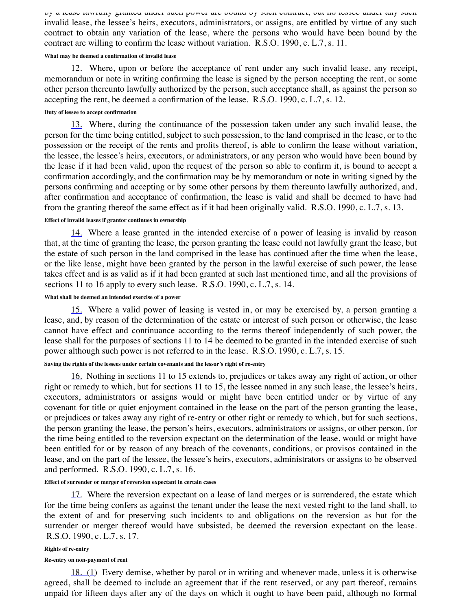by a lease lawfully granted under such power are bound by such contract; but no lessee under any such invalid lease, the lessee's heirs, executors, administrators, or assigns, are entitled by virtue of any such contract to obtain any variation of the lease, where the persons who would have been bound by the contract are willing to confirm the lease without variation. R.S.O. 1990, c. L.7, s. 11.

## **What may be deemed a confirmation of invalid lease**

12. Where, upon or before the acceptance of rent under any such invalid lease, any receipt, memorandum or note in writing confirming the lease is signed by the person accepting the rent, or some other person thereunto lawfully authorized by the person, such acceptance shall, as against the person so accepting the rent, be deemed a confirmation of the lease. R.S.O. 1990, c. L.7, s. 12.

## **Duty of lessee to accept confirmation**

13. Where, during the continuance of the possession taken under any such invalid lease, the person for the time being entitled, subject to such possession, to the land comprised in the lease, or to the possession or the receipt of the rents and profits thereof, is able to confirm the lease without variation, the lessee, the lessee's heirs, executors, or administrators, or any person who would have been bound by the lease if it had been valid, upon the request of the person so able to confirm it, is bound to accept a confirmation accordingly, and the confirmation may be by memorandum or note in writing signed by the persons confirming and accepting or by some other persons by them thereunto lawfully authorized, and, after confirmation and acceptance of confirmation, the lease is valid and shall be deemed to have had from the granting thereof the same effect as if it had been originally valid. R.S.O. 1990, c. L.7, s. 13.

#### **Effect of invalid leases if grantor continues in ownership**

14. Where a lease granted in the intended exercise of a power of leasing is invalid by reason that, at the time of granting the lease, the person granting the lease could not lawfully grant the lease, but the estate of such person in the land comprised in the lease has continued after the time when the lease, or the like lease, might have been granted by the person in the lawful exercise of such power, the lease takes effect and is as valid as if it had been granted at such last mentioned time, and all the provisions of sections 11 to 16 apply to every such lease. R.S.O. 1990, c. L.7, s. 14.

## **What shall be deemed an intended exercise of a power**

15. Where a valid power of leasing is vested in, or may be exercised by, a person granting a lease, and, by reason of the determination of the estate or interest of such person or otherwise, the lease cannot have effect and continuance according to the terms thereof independently of such power, the lease shall for the purposes of sections 11 to 14 be deemed to be granted in the intended exercise of such power although such power is not referred to in the lease. R.S.O. 1990, c. L.7, s. 15.

## **Saving the rights of the lessees under certain covenants and the lessor's right of re-entry**

16. Nothing in sections 11 to 15 extends to, prejudices or takes away any right of action, or other right or remedy to which, but for sections 11 to 15, the lessee named in any such lease, the lessee's heirs, executors, administrators or assigns would or might have been entitled under or by virtue of any covenant for title or quiet enjoyment contained in the lease on the part of the person granting the lease, or prejudices or takes away any right of re-entry or other right or remedy to which, but for such sections, the person granting the lease, the person's heirs, executors, administrators or assigns, or other person, for the time being entitled to the reversion expectant on the determination of the lease, would or might have been entitled for or by reason of any breach of the covenants, conditions, or provisos contained in the lease, and on the part of the lessee, the lessee's heirs, executors, administrators or assigns to be observed and performed. R.S.O. 1990, c. L.7, s. 16.

## **Effect of surrender or merger of reversion expectant in certain cases**

17. Where the reversion expectant on a lease of land merges or is surrendered, the estate which for the time being confers as against the tenant under the lease the next vested right to the land shall, to the extent of and for preserving such incidents to and obligations on the reversion as but for the surrender or merger thereof would have subsisted, be deemed the reversion expectant on the lease. R.S.O. 1990, c. L.7, s. 17.

#### **Rights of re-entry**

#### **Re-entry on non-payment of rent**

18. (1) Every demise, whether by parol or in writing and whenever made, unless it is otherwise agreed, shall be deemed to include an agreement that if the rent reserved, or any part thereof, remains unpaid for fifteen days after any of the days on which it ought to have been paid, although no formal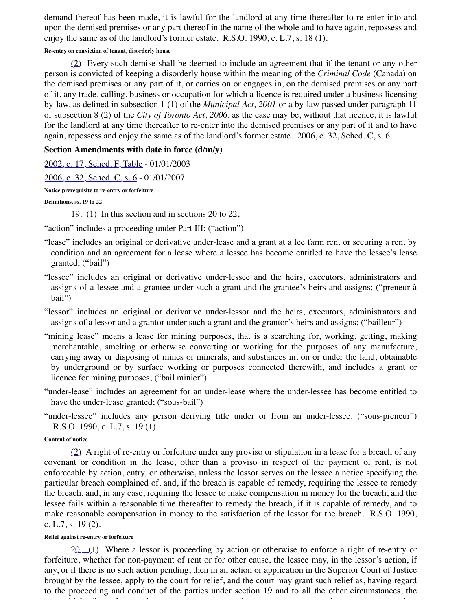demand thereof has been made, it is lawful for the landlord at any time thereafter to re-enter into and upon the demised premises or any part thereof in the name of the whole and to have again, repossess and enjoy the same as of the landlord's former estate. R.S.O. 1990, c. L.7, s. 18 (1).

**Re-entry on conviction of tenant, disorderly house**

 $(2)$  Every such demise shall be deemed to include an agreement that if the tenant or any other person is convicted of keeping a disorderly house within the meaning of the *Criminal Code* (Canada) on the demised premises or any part of it, or carries on or engages in, on the demised premises or any part of it, any trade, calling, business or occupation for which a licence is required under a business licensing by-law, as defined in subsection 1 (1) of the *Municipal Act, 2001* or a by-law passed under paragraph 11 of subsection 8 (2) of the *City of Toronto Act, 2006*, as the case may be, without that licence, it is lawful for the landlord at any time thereafter to re-enter into the demised premises or any part of it and to have again, repossess and enjoy the same as of the landlord's former estate. 2006, c. 32, Sched. C, s. 6.

## **Section Amendments with date in force (d/m/y)**

2002, c. 17, Sched. F, Table - 01/01/2003

2006, c. 32, Sched. C, s. 6 - 01/01/2007

## **Notice prerequisite to re-entry or forfeiture**

**Definitions, ss. 19 to 22**

19.  $(1)$  In this section and in sections 20 to 22,

"action" includes a proceeding under Part III; ("action")

- "lease" includes an original or derivative under-lease and a grant at a fee farm rent or securing a rent by condition and an agreement for a lease where a lessee has become entitled to have the lessee's lease granted; ("bail")
- "lessee" includes an original or derivative under-lessee and the heirs, executors, administrators and assigns of a lessee and a grantee under such a grant and the grantee's heirs and assigns; ("preneur à bail")
- "lessor" includes an original or derivative under-lessor and the heirs, executors, administrators and assigns of a lessor and a grantor under such a grant and the grantor's heirs and assigns; ("bailleur")
- "mining lease" means a lease for mining purposes, that is a searching for, working, getting, making merchantable, smelting or otherwise converting or working for the purposes of any manufacture, carrying away or disposing of mines or minerals, and substances in, on or under the land, obtainable by underground or by surface working or purposes connected therewith, and includes a grant or licence for mining purposes; ("bail minier")
- "under-lease" includes an agreement for an under-lease where the under-lessee has become entitled to have the under-lease granted; ("sous-bail")
- "under-lessee" includes any person deriving title under or from an under-lessee. ("sous-preneur") R.S.O. 1990, c. L.7, s. 19 (1).

## **Content of notice**

 $(2)$  A right of re-entry or forfeiture under any proviso or stipulation in a lease for a breach of any covenant or condition in the lease, other than a proviso in respect of the payment of rent, is not enforceable by action, entry, or otherwise, unless the lessor serves on the lessee a notice specifying the particular breach complained of, and, if the breach is capable of remedy, requiring the lessee to remedy the breach, and, in any case, requiring the lessee to make compensation in money for the breach, and the lessee fails within a reasonable time thereafter to remedy the breach, if it is capable of remedy, and to make reasonable compensation in money to the satisfaction of the lessor for the breach. R.S.O. 1990, c. L.7, s. 19 (2).

# **Relief against re-entry or forfeiture**

20. (1) Where a lessor is proceeding by action or otherwise to enforce a right of re-entry or forfeiture, whether for non-payment of rent or for other cause, the lessee may, in the lessor's action, if any, or if there is no such action pending, then in an action or application in the Superior Court of Justice brought by the lessee, apply to the court for relief, and the court may grant such relief as, having regard to the proceeding and conduct of the parties under section 19 and to all the other circumstances, the court thinks fit, and on such terms as to payment of rent, costs, expenses, damages, damages, compensation, co<br>The compensation, compensation, compensation, compensation, compensation, compensation, compensation, compensa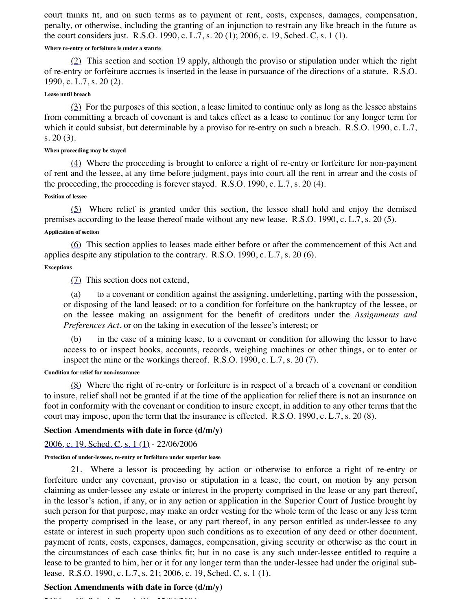court thinks fit, and on such terms as to payment of rent, costs, expenses, damages, compensation, penalty, or otherwise, including the granting of an injunction to restrain any like breach in the future as the court considers just. R.S.O. 1990, c. L.7, s. 20 (1); 2006, c. 19, Sched. C, s. 1 (1).

## **Where re-entry or forfeiture is under a statute**

(2) This section and section 19 apply, although the proviso or stipulation under which the right of re-entry or forfeiture accrues is inserted in the lease in pursuance of the directions of a statute. R.S.O. 1990, c. L.7, s. 20 (2).

## **Lease until breach**

(3) For the purposes of this section, a lease limited to continue only as long as the lessee abstains from committing a breach of covenant is and takes effect as a lease to continue for any longer term for which it could subsist, but determinable by a proviso for re-entry on such a breach. R.S.O. 1990, c. L.7, s. 20 (3).

## **When proceeding may be stayed**

(4) Where the proceeding is brought to enforce a right of re-entry or forfeiture for non-payment of rent and the lessee, at any time before judgment, pays into court all the rent in arrear and the costs of the proceeding, the proceeding is forever stayed. R.S.O. 1990, c. L.7, s. 20 (4).

## **Position of lessee**

(5) Where relief is granted under this section, the lessee shall hold and enjoy the demised premises according to the lease thereof made without any new lease. R.S.O. 1990, c. L.7, s. 20 (5).

#### **Application of section**

(6) This section applies to leases made either before or after the commencement of this Act and applies despite any stipulation to the contrary. R.S.O. 1990, c. L.7, s. 20 (6).

# **Exceptions**

(7) This section does not extend,

(a) to a covenant or condition against the assigning, underletting, parting with the possession, or disposing of the land leased; or to a condition for forfeiture on the bankruptcy of the lessee, or on the lessee making an assignment for the benefit of creditors under the *Assignments and Preferences Act*, or on the taking in execution of the lessee's interest; or

(b) in the case of a mining lease, to a covenant or condition for allowing the lessor to have access to or inspect books, accounts, records, weighing machines or other things, or to enter or inspect the mine or the workings thereof. R.S.O. 1990, c. L.7, s. 20 (7).

#### **Condition for relief for non-insurance**

(8) Where the right of re-entry or forfeiture is in respect of a breach of a covenant or condition to insure, relief shall not be granted if at the time of the application for relief there is not an insurance on foot in conformity with the covenant or condition to insure except, in addition to any other terms that the court may impose, upon the term that the insurance is effected. R.S.O. 1990, c. L.7, s. 20 (8).

# **Section Amendments with date in force (d/m/y)**

2006, c. 19, Sched. C, s. 1 (1) - 22/06/2006

## **Protection of under-lessees, re-entry or forfeiture under superior lease**

21. Where a lessor is proceeding by action or otherwise to enforce a right of re-entry or forfeiture under any covenant, proviso or stipulation in a lease, the court, on motion by any person claiming as under-lessee any estate or interest in the property comprised in the lease or any part thereof, in the lessor's action, if any, or in any action or application in the Superior Court of Justice brought by such person for that purpose, may make an order vesting for the whole term of the lease or any less term the property comprised in the lease, or any part thereof, in any person entitled as under-lessee to any estate or interest in such property upon such conditions as to execution of any deed or other document, payment of rents, costs, expenses, damages, compensation, giving security or otherwise as the court in the circumstances of each case thinks fit; but in no case is any such under-lessee entitled to require a lease to be granted to him, her or it for any longer term than the under-lessee had under the original sublease. R.S.O. 1990, c. L.7, s. 21; 2006, c. 19, Sched. C, s. 1 (1).

# **Section Amendments with date in force (d/m/y)**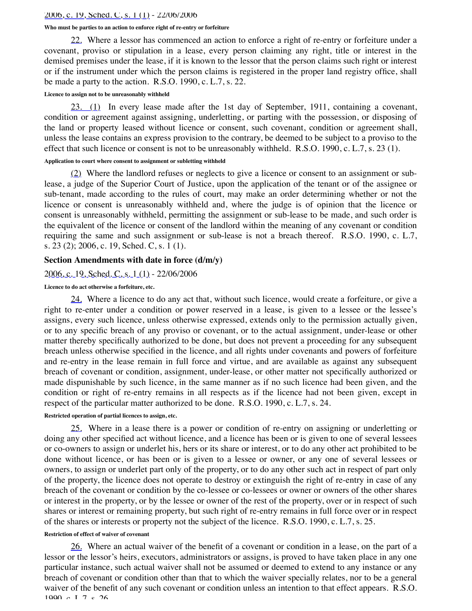## 2006, c. 19, Sched. C, s. 1 (1) - 22/06/2006

## **Who must be parties to an action to enforce right of re-entry or forfeiture**

22. Where a lessor has commenced an action to enforce a right of re-entry or forfeiture under a covenant, proviso or stipulation in a lease, every person claiming any right, title or interest in the demised premises under the lease, if it is known to the lessor that the person claims such right or interest or if the instrument under which the person claims is registered in the proper land registry office, shall be made a party to the action. R.S.O. 1990, c. L.7, s. 22.

#### **Licence to assign not to be unreasonably withheld**

23. (1) In every lease made after the 1st day of September, 1911, containing a covenant, condition or agreement against assigning, underletting, or parting with the possession, or disposing of the land or property leased without licence or consent, such covenant, condition or agreement shall, unless the lease contains an express provision to the contrary, be deemed to be subject to a proviso to the effect that such licence or consent is not to be unreasonably withheld. R.S.O. 1990, c. L.7, s. 23 (1).

## **Application to court where consent to assignment or subletting withheld**

 $(2)$  Where the landlord refuses or neglects to give a licence or consent to an assignment or sublease, a judge of the Superior Court of Justice, upon the application of the tenant or of the assignee or sub-tenant, made according to the rules of court, may make an order determining whether or not the licence or consent is unreasonably withheld and, where the judge is of opinion that the licence or consent is unreasonably withheld, permitting the assignment or sub-lease to be made, and such order is the equivalent of the licence or consent of the landlord within the meaning of any covenant or condition requiring the same and such assignment or sub-lease is not a breach thereof. R.S.O. 1990, c. L.7, s. 23 (2); 2006, c. 19, Sched. C, s. 1 (1).

# **Section Amendments with date in force (d/m/y)**

## 2006, c. 19, Sched. C, s. 1 (1) - 22/06/2006

## **Licence to do act otherwise a forfeiture, etc.**

24. Where a licence to do any act that, without such licence, would create a forfeiture, or give a right to re-enter under a condition or power reserved in a lease, is given to a lessee or the lessee's assigns, every such licence, unless otherwise expressed, extends only to the permission actually given, or to any specific breach of any proviso or covenant, or to the actual assignment, under-lease or other matter thereby specifically authorized to be done, but does not prevent a proceeding for any subsequent breach unless otherwise specified in the licence, and all rights under covenants and powers of forfeiture and re-entry in the lease remain in full force and virtue, and are available as against any subsequent breach of covenant or condition, assignment, under-lease, or other matter not specifically authorized or made dispunishable by such licence, in the same manner as if no such licence had been given, and the condition or right of re-entry remains in all respects as if the licence had not been given, except in respect of the particular matter authorized to be done. R.S.O. 1990, c. L.7, s. 24.

#### **Restricted operation of partial licences to assign, etc.**

25. Where in a lease there is a power or condition of re-entry on assigning or underletting or doing any other specified act without licence, and a licence has been or is given to one of several lessees or co-owners to assign or underlet his, hers or its share or interest, or to do any other act prohibited to be done without licence, or has been or is given to a lessee or owner, or any one of several lessees or owners, to assign or underlet part only of the property, or to do any other such act in respect of part only of the property, the licence does not operate to destroy or extinguish the right of re-entry in case of any breach of the covenant or condition by the co-lessee or co-lessees or owner or owners of the other shares or interest in the property, or by the lessee or owner of the rest of the property, over or in respect of such shares or interest or remaining property, but such right of re-entry remains in full force over or in respect of the shares or interests or property not the subject of the licence. R.S.O. 1990, c. L.7, s. 25.

# **Restriction of effect of waiver of covenant**

26. Where an actual waiver of the benefit of a covenant or condition in a lease, on the part of a lessor or the lessor's heirs, executors, administrators or assigns, is proved to have taken place in any one particular instance, such actual waiver shall not be assumed or deemed to extend to any instance or any breach of covenant or condition other than that to which the waiver specially relates, nor to be a general waiver of the benefit of any such covenant or condition unless an intention to that effect appears. R.S.O. 1000  $c$  I 7  $s$  26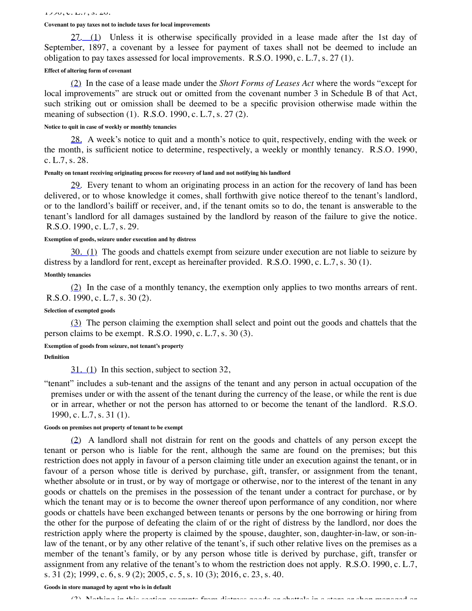## **Covenant to pay taxes not to include taxes for local improvements**

27. (1) Unless it is otherwise specifically provided in a lease made after the 1st day of September, 1897, a covenant by a lessee for payment of taxes shall not be deemed to include an obligation to pay taxes assessed for local improvements. R.S.O. 1990, c. L.7, s. 27 (1).

#### **Effect of altering form of covenant**

(2) In the case of a lease made under the *Short Forms of Leases Act* where the words "except for local improvements" are struck out or omitted from the covenant number 3 in Schedule B of that Act, such striking out or omission shall be deemed to be a specific provision otherwise made within the meaning of subsection (1). R.S.O. 1990, c. L.7, s. 27 (2).

## **Notice to quit in case of weekly or monthly tenancies**

28. A week's notice to quit and a month's notice to quit, respectively, ending with the week or the month, is sufficient notice to determine, respectively, a weekly or monthly tenancy. R.S.O. 1990, c. L.7, s. 28.

## **Penalty on tenant receiving originating process for recovery of land and not notifying his landlord**

29. Every tenant to whom an originating process in an action for the recovery of land has been delivered, or to whose knowledge it comes, shall forthwith give notice thereof to the tenant's landlord, or to the landlord's bailiff or receiver, and, if the tenant omits so to do, the tenant is answerable to the tenant's landlord for all damages sustained by the landlord by reason of the failure to give the notice. R.S.O. 1990, c. L.7, s. 29.

## **Exemption of goods, seizure under execution and by distress**

30. (1) The goods and chattels exempt from seizure under execution are not liable to seizure by distress by a landlord for rent, except as hereinafter provided. R.S.O. 1990, c. L.7, s. 30 (1).

## **Monthly tenancies**

 $(2)$  In the case of a monthly tenancy, the exemption only applies to two months arrears of rent. R.S.O. 1990, c. L.7, s. 30 (2).

## **Selection of exempted goods**

(3) The person claiming the exemption shall select and point out the goods and chattels that the person claims to be exempt. R.S.O. 1990, c. L.7, s. 30 (3).

#### **Exemption of goods from seizure, not tenant's property**

#### **Definition**

31. (1) In this section, subject to section 32,

"tenant" includes a sub-tenant and the assigns of the tenant and any person in actual occupation of the premises under or with the assent of the tenant during the currency of the lease, or while the rent is due or in arrear, whether or not the person has attorned to or become the tenant of the landlord. R.S.O. 1990, c. L.7, s. 31 (1).

## **Goods on premises not property of tenant to be exempt**

(2) A landlord shall not distrain for rent on the goods and chattels of any person except the tenant or person who is liable for the rent, although the same are found on the premises; but this restriction does not apply in favour of a person claiming title under an execution against the tenant, or in favour of a person whose title is derived by purchase, gift, transfer, or assignment from the tenant, whether absolute or in trust, or by way of mortgage or otherwise, nor to the interest of the tenant in any goods or chattels on the premises in the possession of the tenant under a contract for purchase, or by which the tenant may or is to become the owner thereof upon performance of any condition, nor where goods or chattels have been exchanged between tenants or persons by the one borrowing or hiring from the other for the purpose of defeating the claim of or the right of distress by the landlord, nor does the restriction apply where the property is claimed by the spouse, daughter, son, daughter-in-law, or son-inlaw of the tenant, or by any other relative of the tenant's, if such other relative lives on the premises as a member of the tenant's family, or by any person whose title is derived by purchase, gift, transfer or assignment from any relative of the tenant's to whom the restriction does not apply. R.S.O. 1990, c. L.7, s. 31 (2); 1999, c. 6, s. 9 (2); 2005, c. 5, s. 10 (3); 2016, c. 23, s. 40.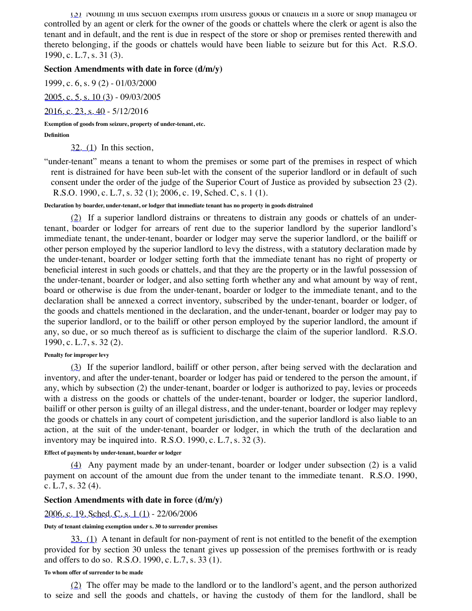(3) Nothing in this section exempts from distress goods or chattels in a store or shop managed or controlled by an agent or clerk for the owner of the goods or chattels where the clerk or agent is also the tenant and in default, and the rent is due in respect of the store or shop or premises rented therewith and thereto belonging, if the goods or chattels would have been liable to seizure but for this Act. R.S.O. 1990, c. L.7, s. 31 (3).

## **Section Amendments with date in force (d/m/y)**

1999, c. 6, s. 9 (2) - 01/03/2000  $2005, c. 5, s. 10 (3) - 09/03/2005$ 

2016, c. 23, s. 40 - 5/12/2016

**Exemption of goods from seizure, property of under-tenant, etc. Definition**

 $32. (1)$  In this section,

"under-tenant" means a tenant to whom the premises or some part of the premises in respect of which rent is distrained for have been sub-let with the consent of the superior landlord or in default of such consent under the order of the judge of the Superior Court of Justice as provided by subsection 23 (2). R.S.O. 1990, c. L.7, s. 32 (1); 2006, c. 19, Sched. C, s. 1 (1).

#### **Declaration by boarder, under-tenant, or lodger that immediate tenant has no property in goods distrained**

(2) If a superior landlord distrains or threatens to distrain any goods or chattels of an undertenant, boarder or lodger for arrears of rent due to the superior landlord by the superior landlord's immediate tenant, the under-tenant, boarder or lodger may serve the superior landlord, or the bailiff or other person employed by the superior landlord to levy the distress, with a statutory declaration made by the under-tenant, boarder or lodger setting forth that the immediate tenant has no right of property or beneficial interest in such goods or chattels, and that they are the property or in the lawful possession of the under-tenant, boarder or lodger, and also setting forth whether any and what amount by way of rent, board or otherwise is due from the under-tenant, boarder or lodger to the immediate tenant, and to the declaration shall be annexed a correct inventory, subscribed by the under-tenant, boarder or lodger, of the goods and chattels mentioned in the declaration, and the under-tenant, boarder or lodger may pay to the superior landlord, or to the bailiff or other person employed by the superior landlord, the amount if any, so due, or so much thereof as is sufficient to discharge the claim of the superior landlord. R.S.O. 1990, c. L.7, s. 32 (2).

# **Penalty for improper levy**

(3) If the superior landlord, bailiff or other person, after being served with the declaration and inventory, and after the under-tenant, boarder or lodger has paid or tendered to the person the amount, if any, which by subsection (2) the under-tenant, boarder or lodger is authorized to pay, levies or proceeds with a distress on the goods or chattels of the under-tenant, boarder or lodger, the superior landlord, bailiff or other person is guilty of an illegal distress, and the under-tenant, boarder or lodger may replevy the goods or chattels in any court of competent jurisdiction, and the superior landlord is also liable to an action, at the suit of the under-tenant, boarder or lodger, in which the truth of the declaration and inventory may be inquired into. R.S.O. 1990, c. L.7, s. 32 (3).

#### **Effect of payments by under-tenant, boarder or lodger**

(4) Any payment made by an under-tenant, boarder or lodger under subsection (2) is a valid payment on account of the amount due from the under tenant to the immediate tenant. R.S.O. 1990, c. L.7, s. 32 (4).

## **Section Amendments with date in force (d/m/y)**

## 2006, c. 19, Sched. C, s. 1 (1) - 22/06/2006

## **Duty of tenant claiming exemption under s. 30 to surrender premises**

33. (1) A tenant in default for non-payment of rent is not entitled to the benefit of the exemption provided for by section 30 unless the tenant gives up possession of the premises forthwith or is ready and offers to do so. R.S.O. 1990, c. L.7, s. 33 (1).

## **To whom offer of surrender to be made**

(2) The offer may be made to the landlord or to the landlord's agent, and the person authorized to seize and sell the goods and chattels, or having the custody of them for the landlord, shall be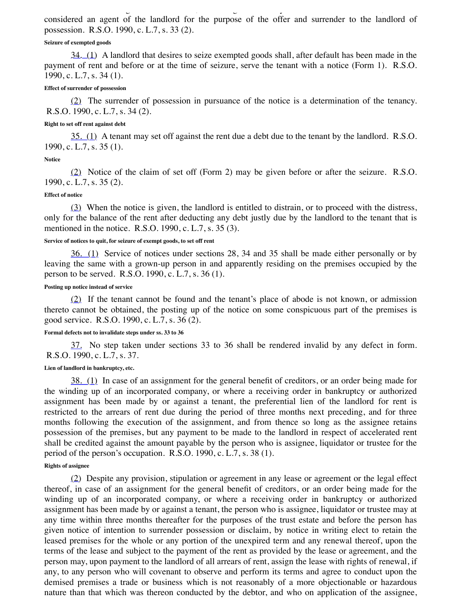to seize and sell the goods and chattels, or having the custody of them for the landlord, shall be considered an agent of the landlord for the purpose of the offer and surrender to the landlord of possession. R.S.O. 1990, c. L.7, s. 33 (2).

## **Seizure of exempted goods**

34. (1) A landlord that desires to seize exempted goods shall, after default has been made in the payment of rent and before or at the time of seizure, serve the tenant with a notice (Form 1). R.S.O. 1990, c. L.7, s. 34 (1).

## **Effect of surrender of possession**

(2) The surrender of possession in pursuance of the notice is a determination of the tenancy. R.S.O. 1990, c. L.7, s. 34 (2).

#### **Right to set off rent against debt**

35. (1) A tenant may set off against the rent due a debt due to the tenant by the landlord. R.S.O. 1990, c. L.7, s. 35 (1).

#### **Notice**

(2) Notice of the claim of set off (Form 2) may be given before or after the seizure. R.S.O. 1990, c. L.7, s. 35 (2).

#### **Effect of notice**

 $(3)$  When the notice is given, the landlord is entitled to distrain, or to proceed with the distress, only for the balance of the rent after deducting any debt justly due by the landlord to the tenant that is mentioned in the notice. R.S.O. 1990, c. L.7, s. 35 (3).

## **Service of notices to quit, for seizure of exempt goods, to set off rent**

36. (1) Service of notices under sections 28, 34 and 35 shall be made either personally or by leaving the same with a grown-up person in and apparently residing on the premises occupied by the person to be served. R.S.O. 1990, c. L.7, s. 36 (1).

## **Posting up notice instead of service**

(2) If the tenant cannot be found and the tenant's place of abode is not known, or admission thereto cannot be obtained, the posting up of the notice on some conspicuous part of the premises is good service. R.S.O. 1990, c. L.7, s. 36 (2).

## **Formal defects not to invalidate steps under ss. 33 to 36**

37. No step taken under sections 33 to 36 shall be rendered invalid by any defect in form. R.S.O. 1990, c. L.7, s. 37.

#### **Lien of landlord in bankruptcy, etc.**

38. (1) In case of an assignment for the general benefit of creditors, or an order being made for the winding up of an incorporated company, or where a receiving order in bankruptcy or authorized assignment has been made by or against a tenant, the preferential lien of the landlord for rent is restricted to the arrears of rent due during the period of three months next preceding, and for three months following the execution of the assignment, and from thence so long as the assignee retains possession of the premises, but any payment to be made to the landlord in respect of accelerated rent shall be credited against the amount payable by the person who is assignee, liquidator or trustee for the period of the person's occupation. R.S.O. 1990, c. L.7, s. 38 (1).

#### **Rights of assignee**

(2) Despite any provision, stipulation or agreement in any lease or agreement or the legal effect thereof, in case of an assignment for the general benefit of creditors, or an order being made for the winding up of an incorporated company, or where a receiving order in bankruptcy or authorized assignment has been made by or against a tenant, the person who is assignee, liquidator or trustee may at any time within three months thereafter for the purposes of the trust estate and before the person has given notice of intention to surrender possession or disclaim, by notice in writing elect to retain the leased premises for the whole or any portion of the unexpired term and any renewal thereof, upon the terms of the lease and subject to the payment of the rent as provided by the lease or agreement, and the person may, upon payment to the landlord of all arrears of rent, assign the lease with rights of renewal, if any, to any person who will covenant to observe and perform its terms and agree to conduct upon the demised premises a trade or business which is not reasonably of a more objectionable or hazardous nature than that which was thereon conducted by the debtor, and who on application of the assignee,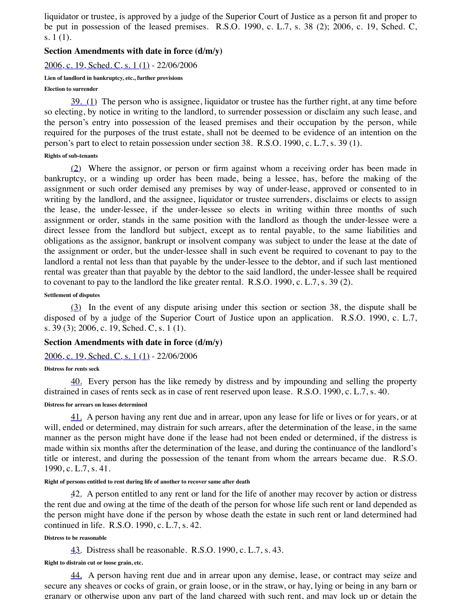liquidator or trustee, is approved by a judge of the Superior Court of Justice as a person fit and proper to be put in possession of the leased premises. R.S.O. 1990, c. L.7, s. 38 (2); 2006, c. 19, Sched. C, s. 1 (1).

# **Section Amendments with date in force (d/m/y)**

## 2006, c. 19, Sched. C, s. 1 (1) - 22/06/2006

## **Lien of landlord in bankruptcy, etc., further provisions**

#### **Election to surrender**

39. (1) The person who is assignee, liquidator or trustee has the further right, at any time before so electing, by notice in writing to the landlord, to surrender possession or disclaim any such lease, and the person's entry into possession of the leased premises and their occupation by the person, while required for the purposes of the trust estate, shall not be deemed to be evidence of an intention on the person's part to elect to retain possession under section 38. R.S.O. 1990, c. L.7, s. 39 (1).

## **Rights of sub-tenants**

(2) Where the assignor, or person or firm against whom a receiving order has been made in bankruptcy, or a winding up order has been made, being a lessee, has, before the making of the assignment or such order demised any premises by way of under-lease, approved or consented to in writing by the landlord, and the assignee, liquidator or trustee surrenders, disclaims or elects to assign the lease, the under-lessee, if the under-lessee so elects in writing within three months of such assignment or order, stands in the same position with the landlord as though the under-lessee were a direct lessee from the landlord but subject, except as to rental payable, to the same liabilities and obligations as the assignor, bankrupt or insolvent company was subject to under the lease at the date of the assignment or order, but the under-lessee shall in such event be required to covenant to pay to the landlord a rental not less than that payable by the under-lessee to the debtor, and if such last mentioned rental was greater than that payable by the debtor to the said landlord, the under-lessee shall be required to covenant to pay to the landlord the like greater rental. R.S.O. 1990, c. L.7, s. 39 (2).

## **Settlement of disputes**

(3) In the event of any dispute arising under this section or section 38, the dispute shall be disposed of by a judge of the Superior Court of Justice upon an application. R.S.O. 1990, c. L.7, s. 39 (3); 2006, c. 19, Sched. C, s. 1 (1).

# **Section Amendments with date in force (d/m/y)**

# 2006, c. 19, Sched. C, s. 1 (1) - 22/06/2006

## **Distress for rents seck**

40. Every person has the like remedy by distress and by impounding and selling the property distrained in cases of rents seck as in case of rent reserved upon lease. R.S.O. 1990, c. L.7, s. 40.

## **Distress for arrears on leases determined**

41. A person having any rent due and in arrear, upon any lease for life or lives or for years, or at will, ended or determined, may distrain for such arrears, after the determination of the lease, in the same manner as the person might have done if the lease had not been ended or determined, if the distress is made within six months after the determination of the lease, and during the continuance of the landlord's title or interest, and during the possession of the tenant from whom the arrears became due. R.S.O. 1990, c. L.7, s. 41.

## **Right of persons entitled to rent during life of another to recover same after death**

42. A person entitled to any rent or land for the life of another may recover by action or distress the rent due and owing at the time of the death of the person for whose life such rent or land depended as the person might have done if the person by whose death the estate in such rent or land determined had continued in life. R.S.O. 1990, c. L.7, s. 42.

#### **Distress to be reasonable**

43. Distress shall be reasonable. R.S.O. 1990, c. L.7, s. 43.

## **Right to distrain cut or loose grain, etc.**

44. A person having rent due and in arrear upon any demise, lease, or contract may seize and secure any sheaves or cocks of grain, or grain loose, or in the straw, or hay, lying or being in any barn or granary or otherwise upon any part of the land charged with such rent, and may lock up or detain the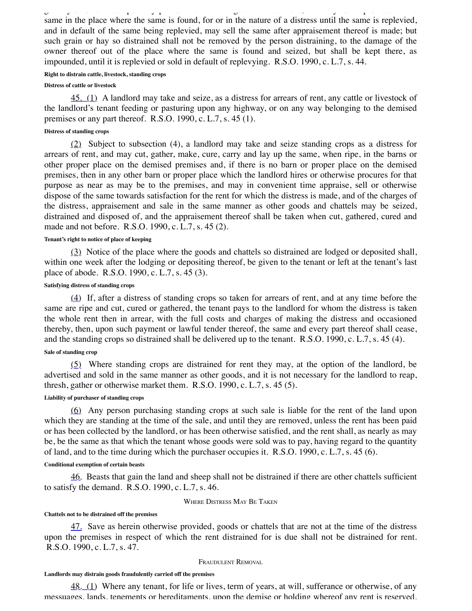granary or otherwise upon any part of the land charged with such rent, and may lock up or detain the same in the place where the same is found, for or in the nature of a distress until the same is replevied, and in default of the same being replevied, may sell the same after appraisement thereof is made; but such grain or hay so distrained shall not be removed by the person distraining, to the damage of the owner thereof out of the place where the same is found and seized, but shall be kept there, as impounded, until it is replevied or sold in default of replevying. R.S.O. 1990, c. L.7, s. 44.

# **Right to distrain cattle, livestock, standing crops**

#### **Distress of cattle or livestock**

45. (1) A landlord may take and seize, as a distress for arrears of rent, any cattle or livestock of the landlord's tenant feeding or pasturing upon any highway, or on any way belonging to the demised premises or any part thereof. R.S.O. 1990, c. L.7, s. 45 (1).

## **Distress of standing crops**

(2) Subject to subsection (4), a landlord may take and seize standing crops as a distress for arrears of rent, and may cut, gather, make, cure, carry and lay up the same, when ripe, in the barns or other proper place on the demised premises and, if there is no barn or proper place on the demised premises, then in any other barn or proper place which the landlord hires or otherwise procures for that purpose as near as may be to the premises, and may in convenient time appraise, sell or otherwise dispose of the same towards satisfaction for the rent for which the distress is made, and of the charges of the distress, appraisement and sale in the same manner as other goods and chattels may be seized, distrained and disposed of, and the appraisement thereof shall be taken when cut, gathered, cured and made and not before. R.S.O. 1990, c. L.7, s. 45 (2).

## **Tenant's right to notice of place of keeping**

(3) Notice of the place where the goods and chattels so distrained are lodged or deposited shall, within one week after the lodging or depositing thereof, be given to the tenant or left at the tenant's last place of abode. R.S.O. 1990, c. L.7, s. 45 (3).

## **Satisfying distress of standing crops**

(4) If, after a distress of standing crops so taken for arrears of rent, and at any time before the same are ripe and cut, cured or gathered, the tenant pays to the landlord for whom the distress is taken the whole rent then in arrear, with the full costs and charges of making the distress and occasioned thereby, then, upon such payment or lawful tender thereof, the same and every part thereof shall cease, and the standing crops so distrained shall be delivered up to the tenant. R.S.O. 1990, c. L.7, s. 45 (4).

#### **Sale of standing crop**

 $(5)$  Where standing crops are distrained for rent they may, at the option of the landlord, be advertised and sold in the same manner as other goods, and it is not necessary for the landlord to reap, thresh, gather or otherwise market them. R.S.O. 1990, c. L.7, s. 45 (5).

## **Liability of purchaser of standing crops**

(6) Any person purchasing standing crops at such sale is liable for the rent of the land upon which they are standing at the time of the sale, and until they are removed, unless the rent has been paid or has been collected by the landlord, or has been otherwise satisfied, and the rent shall, as nearly as may be, be the same as that which the tenant whose goods were sold was to pay, having regard to the quantity of land, and to the time during which the purchaser occupies it. R.S.O. 1990, c. L.7, s. 45 (6).

## **Conditional exemption of certain beasts**

46. Beasts that gain the land and sheep shall not be distrained if there are other chattels sufficient to satisfy the demand. R.S.O. 1990, c. L.7, s. 46.

#### WHERE DISTRESS MAY BE TAKEN

#### **Chattels not to be distrained off the premises**

47. Save as herein otherwise provided, goods or chattels that are not at the time of the distress upon the premises in respect of which the rent distrained for is due shall not be distrained for rent. R.S.O. 1990, c. L.7, s. 47.

#### FRAUDULENT REMOVAL

#### **Landlords may distrain goods fraudulently carried off the premises**

48. (1) Where any tenant, for life or lives, term of years, at will, sufferance or otherwise, of any messuages, lands, tenements or hereditaments, upon the demise or holding whereof any rent is reserved,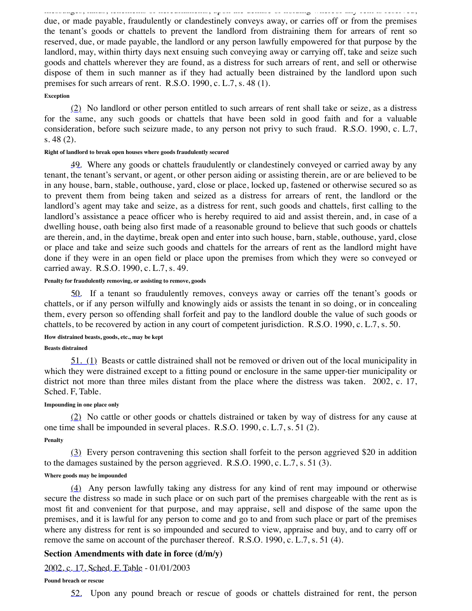messuages, lands, tenements or hereditaments, upon the demise or holding whereof any rent is reserved, due, or made payable, fraudulently or clandestinely conveys away, or carries off or from the premises the tenant's goods or chattels to prevent the landlord from distraining them for arrears of rent so reserved, due, or made payable, the landlord or any person lawfully empowered for that purpose by the landlord, may, within thirty days next ensuing such conveying away or carrying off, take and seize such goods and chattels wherever they are found, as a distress for such arrears of rent, and sell or otherwise dispose of them in such manner as if they had actually been distrained by the landlord upon such premises for such arrears of rent. R.S.O. 1990, c. L.7, s. 48 (1).

## **Exception**

(2) No landlord or other person entitled to such arrears of rent shall take or seize, as a distress for the same, any such goods or chattels that have been sold in good faith and for a valuable consideration, before such seizure made, to any person not privy to such fraud. R.S.O. 1990, c. L.7, s. 48 (2).

## **Right of landlord to break open houses where goods fraudulently secured**

49. Where any goods or chattels fraudulently or clandestinely conveyed or carried away by any tenant, the tenant's servant, or agent, or other person aiding or assisting therein, are or are believed to be in any house, barn, stable, outhouse, yard, close or place, locked up, fastened or otherwise secured so as to prevent them from being taken and seized as a distress for arrears of rent, the landlord or the landlord's agent may take and seize, as a distress for rent, such goods and chattels, first calling to the landlord's assistance a peace officer who is hereby required to aid and assist therein, and, in case of a dwelling house, oath being also first made of a reasonable ground to believe that such goods or chattels are therein, and, in the daytime, break open and enter into such house, barn, stable, outhouse, yard, close or place and take and seize such goods and chattels for the arrears of rent as the landlord might have done if they were in an open field or place upon the premises from which they were so conveyed or carried away. R.S.O. 1990, c. L.7, s. 49.

## **Penalty for fraudulently removing, or assisting to remove, goods**

50. If a tenant so fraudulently removes, conveys away or carries off the tenant's goods or chattels, or if any person wilfully and knowingly aids or assists the tenant in so doing, or in concealing them, every person so offending shall forfeit and pay to the landlord double the value of such goods or chattels, to be recovered by action in any court of competent jurisdiction. R.S.O. 1990, c. L.7, s. 50.

## **How distrained beasts, goods, etc., may be kept**

#### **Beasts distrained**

51. (1) Beasts or cattle distrained shall not be removed or driven out of the local municipality in which they were distrained except to a fitting pound or enclosure in the same upper-tier municipality or district not more than three miles distant from the place where the distress was taken. 2002, c. 17, Sched. F, Table.

## **Impounding in one place only**

(2) No cattle or other goods or chattels distrained or taken by way of distress for any cause at one time shall be impounded in several places. R.S.O. 1990, c. L.7, s. 51 (2).

## **Penalty**

(3) Every person contravening this section shall forfeit to the person aggrieved \$20 in addition to the damages sustained by the person aggrieved. R.S.O. 1990, c. L.7, s. 51 (3).

# **Where goods may be impounded**

(4) Any person lawfully taking any distress for any kind of rent may impound or otherwise secure the distress so made in such place or on such part of the premises chargeable with the rent as is most fit and convenient for that purpose, and may appraise, sell and dispose of the same upon the premises, and it is lawful for any person to come and go to and from such place or part of the premises where any distress for rent is so impounded and secured to view, appraise and buy, and to carry off or remove the same on account of the purchaser thereof. R.S.O. 1990, c. L.7, s. 51 (4).

# **Section Amendments with date in force (d/m/y)**

2002, c. 17, Sched. F, Table - 01/01/2003

# **Pound breach or rescue**

52. Upon any pound breach or rescue of goods or chattels distrained for rent, the person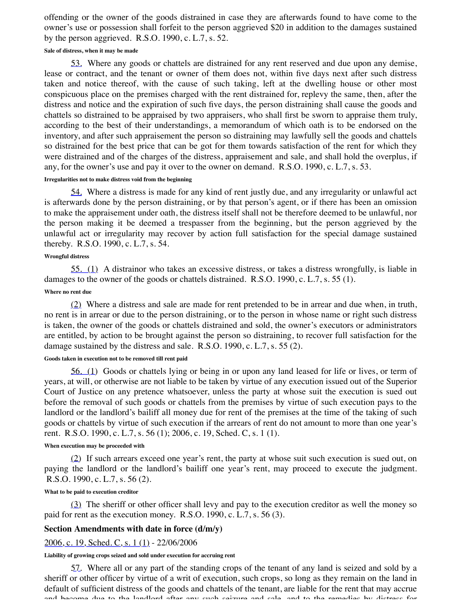offending or the owner of the goods distrained in case they are afterwards found to have come to the owner's use or possession shall forfeit to the person aggrieved \$20 in addition to the damages sustained by the person aggrieved. R.S.O. 1990, c. L.7, s. 52.

## **Sale of distress, when it may be made**

53. Where any goods or chattels are distrained for any rent reserved and due upon any demise, lease or contract, and the tenant or owner of them does not, within five days next after such distress taken and notice thereof, with the cause of such taking, left at the dwelling house or other most conspicuous place on the premises charged with the rent distrained for, replevy the same, then, after the distress and notice and the expiration of such five days, the person distraining shall cause the goods and chattels so distrained to be appraised by two appraisers, who shall first be sworn to appraise them truly, according to the best of their understandings, a memorandum of which oath is to be endorsed on the inventory, and after such appraisement the person so distraining may lawfully sell the goods and chattels so distrained for the best price that can be got for them towards satisfaction of the rent for which they were distrained and of the charges of the distress, appraisement and sale, and shall hold the overplus, if any, for the owner's use and pay it over to the owner on demand. R.S.O. 1990, c. L.7, s. 53.

## **Irregularities not to make distress void from the beginning**

54. Where a distress is made for any kind of rent justly due, and any irregularity or unlawful act is afterwards done by the person distraining, or by that person's agent, or if there has been an omission to make the appraisement under oath, the distress itself shall not be therefore deemed to be unlawful, nor the person making it be deemed a trespasser from the beginning, but the person aggrieved by the unlawful act or irregularity may recover by action full satisfaction for the special damage sustained thereby. R.S.O. 1990, c. L.7, s. 54.

## **Wrongful distress**

55. (1) A distrainor who takes an excessive distress, or takes a distress wrongfully, is liable in damages to the owner of the goods or chattels distrained. R.S.O. 1990, c. L.7, s. 55 (1).

# **Where no rent due**

 $(2)$  Where a distress and sale are made for rent pretended to be in arrear and due when, in truth, no rent is in arrear or due to the person distraining, or to the person in whose name or right such distress is taken, the owner of the goods or chattels distrained and sold, the owner's executors or administrators are entitled, by action to be brought against the person so distraining, to recover full satisfaction for the damage sustained by the distress and sale. R.S.O. 1990, c. L.7, s. 55 (2).

## **Goods taken in execution not to be removed till rent paid**

56. (1) Goods or chattels lying or being in or upon any land leased for life or lives, or term of years, at will, or otherwise are not liable to be taken by virtue of any execution issued out of the Superior Court of Justice on any pretence whatsoever, unless the party at whose suit the execution is sued out before the removal of such goods or chattels from the premises by virtue of such execution pays to the landlord or the landlord's bailiff all money due for rent of the premises at the time of the taking of such goods or chattels by virtue of such execution if the arrears of rent do not amount to more than one year's rent. R.S.O. 1990, c. L.7, s. 56 (1); 2006, c. 19, Sched. C, s. 1 (1).

## **When execution may be proceeded with**

(2) If such arrears exceed one year's rent, the party at whose suit such execution is sued out, on paying the landlord or the landlord's bailiff one year's rent, may proceed to execute the judgment. R.S.O. 1990, c. L.7, s. 56 (2).

## **What to be paid to execution creditor**

 $(3)$ . The sheriff or other officer shall levy and pay to the execution creditor as well the money so paid for rent as the execution money. R.S.O. 1990, c. L.7, s. 56 (3).

## **Section Amendments with date in force (d/m/y)**

## 2006, c. 19, Sched. C, s. 1 (1) - 22/06/2006

## **Liability of growing crops seized and sold under execution for accruing rent**

57. Where all or any part of the standing crops of the tenant of any land is seized and sold by a sheriff or other officer by virtue of a writ of execution, such crops, so long as they remain on the land in default of sufficient distress of the goods and chattels of the tenant, are liable for the rent that may accrue and become due to the landlord after any such seizure and sale, and to the remedies by distress for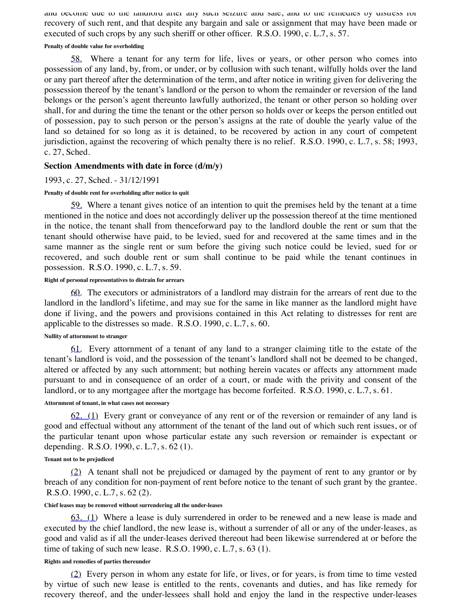and become due to the landlord after any such seizure and sale, and to the remedies by distress for recovery of such rent, and that despite any bargain and sale or assignment that may have been made or executed of such crops by any such sheriff or other officer. R.S.O. 1990, c. L.7, s. 57.

#### **Penalty of double value for overholding**

58. Where a tenant for any term for life, lives or years, or other person who comes into possession of any land, by, from, or under, or by collusion with such tenant, wilfully holds over the land or any part thereof after the determination of the term, and after notice in writing given for delivering the possession thereof by the tenant's landlord or the person to whom the remainder or reversion of the land belongs or the person's agent thereunto lawfully authorized, the tenant or other person so holding over shall, for and during the time the tenant or the other person so holds over or keeps the person entitled out of possession, pay to such person or the person's assigns at the rate of double the yearly value of the land so detained for so long as it is detained, to be recovered by action in any court of competent jurisdiction, against the recovering of which penalty there is no relief. R.S.O. 1990, c. L.7, s. 58; 1993, c. 27, Sched.

# **Section Amendments with date in force (d/m/y)**

## 1993, c. 27, Sched. - 31/12/1991

## **Penalty of double rent for overholding after notice to quit**

59. Where a tenant gives notice of an intention to quit the premises held by the tenant at a time mentioned in the notice and does not accordingly deliver up the possession thereof at the time mentioned in the notice, the tenant shall from thenceforward pay to the landlord double the rent or sum that the tenant should otherwise have paid, to be levied, sued for and recovered at the same times and in the same manner as the single rent or sum before the giving such notice could be levied, sued for or recovered, and such double rent or sum shall continue to be paid while the tenant continues in possession. R.S.O. 1990, c. L.7, s. 59.

## **Right of personal representatives to distrain for arrears**

60. The executors or administrators of a landlord may distrain for the arrears of rent due to the landlord in the landlord's lifetime, and may sue for the same in like manner as the landlord might have done if living, and the powers and provisions contained in this Act relating to distresses for rent are applicable to the distresses so made. R.S.O. 1990, c. L.7, s. 60.

## **Nullity of attornment to stranger**

61. Every attornment of a tenant of any land to a stranger claiming title to the estate of the tenant's landlord is void, and the possession of the tenant's landlord shall not be deemed to be changed, altered or affected by any such attornment; but nothing herein vacates or affects any attornment made pursuant to and in consequence of an order of a court, or made with the privity and consent of the landlord, or to any mortgagee after the mortgage has become forfeited. R.S.O. 1990, c. L.7, s. 61.

#### **Attornment of tenant, in what cases not necessary**

 $62. (1)$  Every grant or conveyance of any rent or of the reversion or remainder of any land is good and effectual without any attornment of the tenant of the land out of which such rent issues, or of the particular tenant upon whose particular estate any such reversion or remainder is expectant or depending. R.S.O. 1990, c. L.7, s. 62 (1).

## **Tenant not to be prejudiced**

(2) A tenant shall not be prejudiced or damaged by the payment of rent to any grantor or by breach of any condition for non-payment of rent before notice to the tenant of such grant by the grantee. R.S.O. 1990, c. L.7, s. 62 (2).

## **Chief leases may be removed without surrendering all the under-leases**

63. (1) Where a lease is duly surrendered in order to be renewed and a new lease is made and executed by the chief landlord, the new lease is, without a surrender of all or any of the under-leases, as good and valid as if all the under-leases derived thereout had been likewise surrendered at or before the time of taking of such new lease. R.S.O. 1990, c. L.7, s. 63 (1).

## **Rights and remedies of parties thereunder**

(2) Every person in whom any estate for life, or lives, or for years, is from time to time vested by virtue of such new lease is entitled to the rents, covenants and duties, and has like remedy for recovery thereof, and the under-lessees shall hold and enjoy the land in the respective under-leases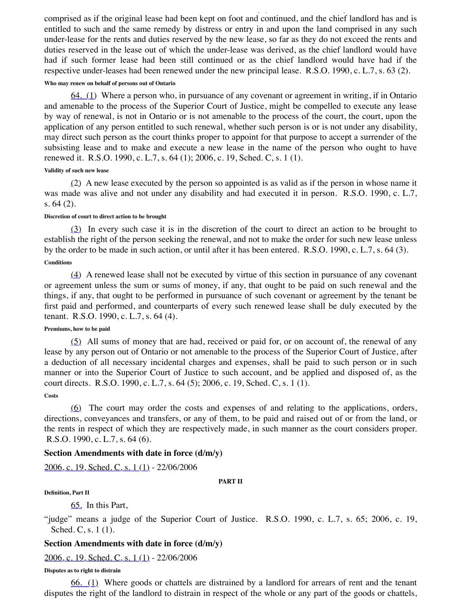comprised as if the original lease had been kept on foot and continued, and the chief landlord has and is entitled to such and the same remedy by distress or entry in and upon the land comprised in any such under-lease for the rents and duties reserved by the new lease, so far as they do not exceed the rents and duties reserved in the lease out of which the under-lease was derived, as the chief landlord would have had if such former lease had been still continued or as the chief landlord would have had if the respective under-leases had been renewed under the new principal lease. R.S.O. 1990, c. L.7, s. 63 (2).

recovery thereof, and the under-lessees shall hold and enjoy the land in the respective under-leases

#### **Who may renew on behalf of persons out of Ontario**

64. (1) Where a person who, in pursuance of any covenant or agreement in writing, if in Ontario and amenable to the process of the Superior Court of Justice, might be compelled to execute any lease by way of renewal, is not in Ontario or is not amenable to the process of the court, the court, upon the application of any person entitled to such renewal, whether such person is or is not under any disability, may direct such person as the court thinks proper to appoint for that purpose to accept a surrender of the subsisting lease and to make and execute a new lease in the name of the person who ought to have renewed it. R.S.O. 1990, c. L.7, s. 64 (1); 2006, c. 19, Sched. C, s. 1 (1).

## **Validity of such new lease**

(2) A new lease executed by the person so appointed is as valid as if the person in whose name it was made was alive and not under any disability and had executed it in person. R.S.O. 1990, c. L.7, s. 64 (2).

## **Discretion of court to direct action to be brought**

 $(3)$  In every such case it is in the discretion of the court to direct an action to be brought to establish the right of the person seeking the renewal, and not to make the order for such new lease unless by the order to be made in such action, or until after it has been entered. R.S.O. 1990, c. L.7, s. 64 (3).

#### **Conditions**

(4) A renewed lease shall not be executed by virtue of this section in pursuance of any covenant or agreement unless the sum or sums of money, if any, that ought to be paid on such renewal and the things, if any, that ought to be performed in pursuance of such covenant or agreement by the tenant be first paid and performed, and counterparts of every such renewed lease shall be duly executed by the tenant. R.S.O. 1990, c. L.7, s. 64 (4).

## **Premiums, how to be paid**

(5) All sums of money that are had, received or paid for, or on account of, the renewal of any lease by any person out of Ontario or not amenable to the process of the Superior Court of Justice, after a deduction of all necessary incidental charges and expenses, shall be paid to such person or in such manner or into the Superior Court of Justice to such account, and be applied and disposed of, as the court directs. R.S.O. 1990, c. L.7, s. 64 (5); 2006, c. 19, Sched. C, s. 1 (1).

#### **Costs**

(6) The court may order the costs and expenses of and relating to the applications, orders, directions, conveyances and transfers, or any of them, to be paid and raised out of or from the land, or the rents in respect of which they are respectively made, in such manner as the court considers proper. R.S.O. 1990, c. L.7, s. 64 (6).

## **Section Amendments with date in force (d/m/y)**

2006, c. 19, Sched. C, s. 1 (1) - 22/06/2006

#### **PART II**

#### **Definition, Part II**

65. In this Part,

"judge" means a judge of the Superior Court of Justice. R.S.O. 1990, c. L.7, s. 65; 2006, c. 19, Sched. C, s. 1 (1).

# **Section Amendments with date in force (d/m/y)**

2006, c. 19, Sched. C, s. 1 (1) - 22/06/2006

#### **Disputes as to right to distrain**

66. (1) Where goods or chattels are distrained by a landlord for arrears of rent and the tenant disputes the right of the landlord to distrain in respect of the whole or any part of the goods or chattels,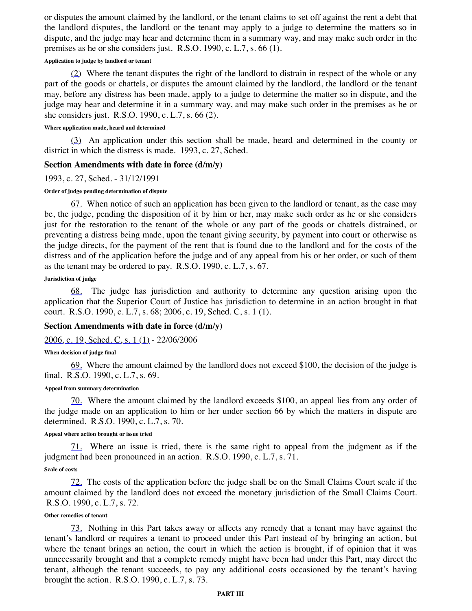or disputes the amount claimed by the landlord, or the tenant claims to set off against the rent a debt that the landlord disputes, the landlord or the tenant may apply to a judge to determine the matters so in dispute, and the judge may hear and determine them in a summary way, and may make such order in the premises as he or she considers just. R.S.O. 1990, c. L.7, s. 66 (1).

## **Application to judge by landlord or tenant**

(2) Where the tenant disputes the right of the landlord to distrain in respect of the whole or any part of the goods or chattels, or disputes the amount claimed by the landlord, the landlord or the tenant may, before any distress has been made, apply to a judge to determine the matter so in dispute, and the judge may hear and determine it in a summary way, and may make such order in the premises as he or she considers just. R.S.O. 1990, c. L.7, s. 66 (2).

# **Where application made, heard and determined**

(3) An application under this section shall be made, heard and determined in the county or district in which the distress is made. 1993, c. 27, Sched.

# **Section Amendments with date in force (d/m/y)**

1993, c. 27, Sched. - 31/12/1991

## **Order of judge pending determination of dispute**

67. When notice of such an application has been given to the landlord or tenant, as the case may be, the judge, pending the disposition of it by him or her, may make such order as he or she considers just for the restoration to the tenant of the whole or any part of the goods or chattels distrained, or preventing a distress being made, upon the tenant giving security, by payment into court or otherwise as the judge directs, for the payment of the rent that is found due to the landlord and for the costs of the distress and of the application before the judge and of any appeal from his or her order, or such of them as the tenant may be ordered to pay. R.S.O. 1990, c. L.7, s. 67.

## **Jurisdiction of judge**

68. The judge has jurisdiction and authority to determine any question arising upon the application that the Superior Court of Justice has jurisdiction to determine in an action brought in that court. R.S.O. 1990, c. L.7, s. 68; 2006, c. 19, Sched. C, s. 1 (1).

# **Section Amendments with date in force (d/m/y)**

# 2006, c. 19, Sched. C, s. 1 (1) - 22/06/2006

# **When decision of judge final**

69. Where the amount claimed by the landlord does not exceed \$100, the decision of the judge is final. R.S.O. 1990, c. L.7, s. 69.

## **Appeal from summary determination**

70. Where the amount claimed by the landlord exceeds \$100, an appeal lies from any order of the judge made on an application to him or her under section 66 by which the matters in dispute are determined. R.S.O. 1990, c. L.7, s. 70.

## **Appeal where action brought or issue tried**

71. Where an issue is tried, there is the same right to appeal from the judgment as if the judgment had been pronounced in an action. R.S.O. 1990, c. L.7, s. 71. **Scale of costs**

72. The costs of the application before the judge shall be on the Small Claims Court scale if the amount claimed by the landlord does not exceed the monetary jurisdiction of the Small Claims Court. R.S.O. 1990, c. L.7, s. 72.

## **Other remedies of tenant**

73. Nothing in this Part takes away or affects any remedy that a tenant may have against the tenant's landlord or requires a tenant to proceed under this Part instead of by bringing an action, but where the tenant brings an action, the court in which the action is brought, if of opinion that it was unnecessarily brought and that a complete remedy might have been had under this Part, may direct the tenant, although the tenant succeeds, to pay any additional costs occasioned by the tenant's having brought the action. R.S.O. 1990, c. L.7, s. 73.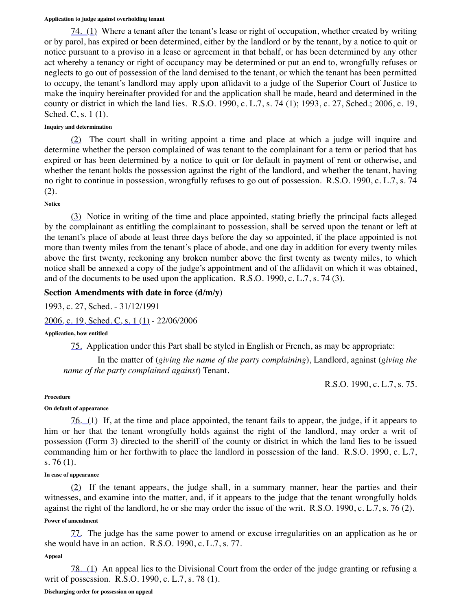#### **Application to judge against overholding tenant**

74. (1) Where a tenant after the tenant's lease or right of occupation, whether created by writing or by parol, has expired or been determined, either by the landlord or by the tenant, by a notice to quit or notice pursuant to a proviso in a lease or agreement in that behalf, or has been determined by any other act whereby a tenancy or right of occupancy may be determined or put an end to, wrongfully refuses or neglects to go out of possession of the land demised to the tenant, or which the tenant has been permitted to occupy, the tenant's landlord may apply upon affidavit to a judge of the Superior Court of Justice to make the inquiry hereinafter provided for and the application shall be made, heard and determined in the county or district in which the land lies. R.S.O. 1990, c. L.7, s. 74 (1); 1993, c. 27, Sched.; 2006, c. 19, Sched. C, s. 1 (1).

## **Inquiry and determination**

(2) The court shall in writing appoint a time and place at which a judge will inquire and determine whether the person complained of was tenant to the complainant for a term or period that has expired or has been determined by a notice to quit or for default in payment of rent or otherwise, and whether the tenant holds the possession against the right of the landlord, and whether the tenant, having no right to continue in possession, wrongfully refuses to go out of possession. R.S.O. 1990, c. L.7, s. 74 (2).

**Notice**

(3) Notice in writing of the time and place appointed, stating briefly the principal facts alleged by the complainant as entitling the complainant to possession, shall be served upon the tenant or left at the tenant's place of abode at least three days before the day so appointed, if the place appointed is not more than twenty miles from the tenant's place of abode, and one day in addition for every twenty miles above the first twenty, reckoning any broken number above the first twenty as twenty miles, to which notice shall be annexed a copy of the judge's appointment and of the affidavit on which it was obtained, and of the documents to be used upon the application. R.S.O. 1990, c. L.7, s. 74 (3).

# **Section Amendments with date in force (d/m/y)**

1993, c. 27, Sched. - 31/12/1991

2006, c. 19, Sched. C, s. 1 (1) - 22/06/2006

## **Application, how entitled**

75. Application under this Part shall be styled in English or French, as may be appropriate:

In the matter of (*giving the name of the party complaining*), Landlord, against (*giving the name of the party complained against*) Tenant.

R.S.O. 1990, c. L.7, s. 75.

#### **Procedure**

#### **On default of appearance**

 $76$ . (1) If, at the time and place appointed, the tenant fails to appear, the judge, if it appears to him or her that the tenant wrongfully holds against the right of the landlord, may order a writ of possession (Form 3) directed to the sheriff of the county or district in which the land lies to be issued commanding him or her forthwith to place the landlord in possession of the land. R.S.O. 1990, c. L.7, s. 76 (1).

## **In case of appearance**

(2) If the tenant appears, the judge shall, in a summary manner, hear the parties and their witnesses, and examine into the matter, and, if it appears to the judge that the tenant wrongfully holds against the right of the landlord, he or she may order the issue of the writ. R.S.O. 1990, c. L.7, s. 76 (2). **Power of amendment**

77. The judge has the same power to amend or excuse irregularities on an application as he or she would have in an action. R.S.O. 1990, c. L.7, s. 77.

## **Appeal**

78. (1) An appeal lies to the Divisional Court from the order of the judge granting or refusing a writ of possession. R.S.O. 1990, c. L.7, s. 78 (1).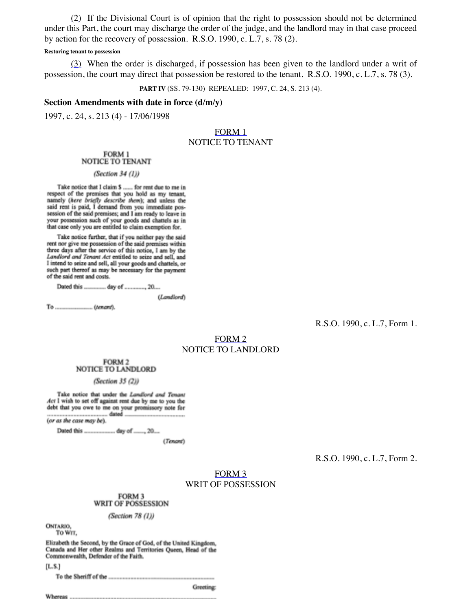(2) If the Divisional Court is of opinion that the right to possession should not be determined under this Part, the court may discharge the order of the judge, and the landlord may in that case proceed by action for the recovery of possession. R.S.O. 1990, c. L.7, s. 78 (2).

#### **Restoring tenant to possession**

(3) When the order is discharged, if possession has been given to the landlord under a writ of possession, the court may direct that possession be restored to the tenant. R.S.O. 1990, c. L.7, s. 78 (3).

**PART IV** (SS. 79-130) REPEALED: 1997, C. 24, S. 213 (4).

## **Section Amendments with date in force (d/m/y)**

1997, c. 24, s. 213 (4) - 17/06/1998

# FORM 1 NOTICE TO TENANT

#### FORM 1 NOTICE TO TENANT

(Section 34 (1))

Take notice that I claim \$ ...... for rent due to me in respect of the premises that you hold as my tenant, namely (here briefly describe them); and unless the said rent is paid, I demand from you immediate possession of the said premises; and I am ready to leave in your possession such of your goods and chattels as in that case only you are entitled to claim exemption for.

Take notice further, that if you neither pay the said rent nor give me possession of the said premises within three days after the service of this notice, I am by the Landlord and Tenant Act entitled to seize and sell, and I intend to seize and sell, all your goods and chattels, or such part thereof as may be necessary for the payment of the said rent and costs.

Dated this ............... day of ............., 20....

(Landlord)

R.S.O. 1990, c. L.7, Form 1.

# FORM 2 NOTICE TO LANDLORD

#### FORM<sub>2</sub> NOTICE TO LANDLORD

(Section 35 (2))

Take notice that under the Landlord and Tenant Act I wish to set off against rent due by me to you the debt that you owe to me on your promissory note for ....................... dated

(or as the case may be).

(Tenant)

R.S.O. 1990, c. L.7, Form 2.

## FORM 3 WRIT OF POSSESSION

#### FORM<sub>3</sub> **WRIT OF POSSESSION**

#### (Section 78 (1))

ONTARIO, To WIT.

Elizabeth the Second, by the Grace of God, of the United Kingdom, Canada and Her other Realms and Territories Queen, Head of the Commonwealth, Defender of the Faith.

 $[L.S.]$ 

Greeting: